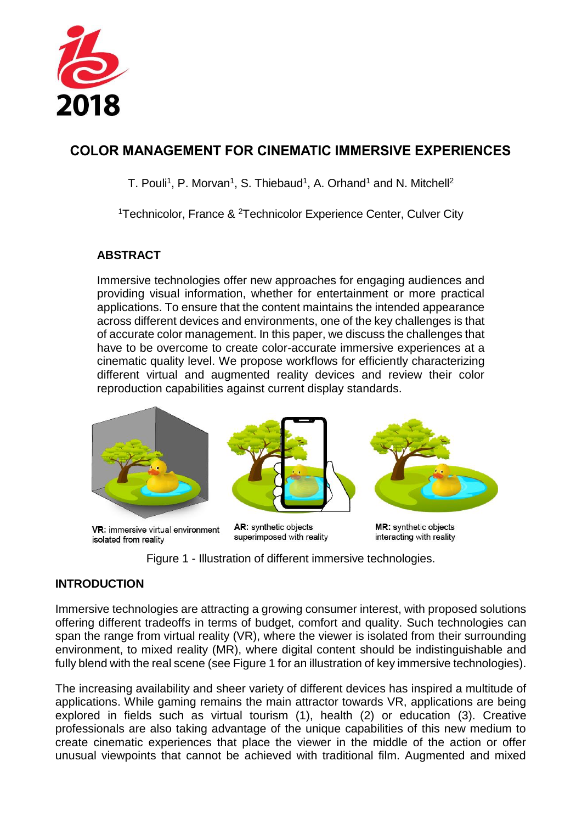

# **COLOR MANAGEMENT FOR CINEMATIC IMMERSIVE EXPERIENCES**

T. Pouli<sup>1</sup>, P. Morvan<sup>1</sup>, S. Thiebaud<sup>1</sup>, A. Orhand<sup>1</sup> and N. Mitchell<sup>2</sup>

<sup>1</sup>Technicolor, France & <sup>2</sup>Technicolor Experience Center, Culver City

# **ABSTRACT**

Immersive technologies offer new approaches for engaging audiences and providing visual information, whether for entertainment or more practical applications. To ensure that the content maintains the intended appearance across different devices and environments, one of the key challenges is that of accurate color management. In this paper, we discuss the challenges that have to be overcome to create color-accurate immersive experiences at a cinematic quality level. We propose workflows for efficiently characterizing different virtual and augmented reality devices and review their color reproduction capabilities against current display standards.



VR: immersive virtual environment isolated from reality

AR: synthetic objects superimposed with reality

MR: synthetic objects interacting with reality

Figure 1 - Illustration of different immersive technologies.

### <span id="page-0-0"></span>**INTRODUCTION**

Immersive technologies are attracting a growing consumer interest, with proposed solutions offering different tradeoffs in terms of budget, comfort and quality. Such technologies can span the range from virtual reality (VR), where the viewer is isolated from their surrounding environment, to mixed reality (MR), where digital content should be indistinguishable and fully blend with the real scene (see [Figure 1](#page-0-0) for an illustration of key immersive technologies).

The increasing availability and sheer variety of different devices has inspired a multitude of applications. While gaming remains the main attractor towards VR, applications are being explored in fields such as virtual tourism (1), health (2) or education (3). Creative professionals are also taking advantage of the unique capabilities of this new medium to create cinematic experiences that place the viewer in the middle of the action or offer unusual viewpoints that cannot be achieved with traditional film. Augmented and mixed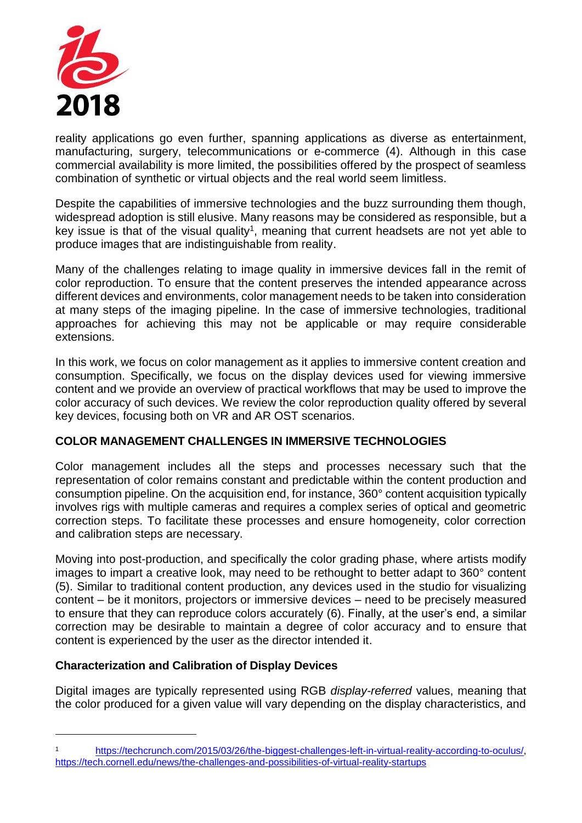

reality applications go even further, spanning applications as diverse as entertainment, manufacturing, surgery, telecommunications or e-commerce (4). Although in this case commercial availability is more limited, the possibilities offered by the prospect of seamless combination of synthetic or virtual objects and the real world seem limitless.

Despite the capabilities of immersive technologies and the buzz surrounding them though, widespread adoption is still elusive. Many reasons may be considered as responsible, but a key issue is that of the visual quality<sup>1</sup>, meaning that current headsets are not yet able to produce images that are indistinguishable from reality.

Many of the challenges relating to image quality in immersive devices fall in the remit of color reproduction. To ensure that the content preserves the intended appearance across different devices and environments, color management needs to be taken into consideration at many steps of the imaging pipeline. In the case of immersive technologies, traditional approaches for achieving this may not be applicable or may require considerable extensions.

In this work, we focus on color management as it applies to immersive content creation and consumption. Specifically, we focus on the display devices used for viewing immersive content and we provide an overview of practical workflows that may be used to improve the color accuracy of such devices. We review the color reproduction quality offered by several key devices, focusing both on VR and AR OST scenarios.

### **COLOR MANAGEMENT CHALLENGES IN IMMERSIVE TECHNOLOGIES**

Color management includes all the steps and processes necessary such that the representation of color remains constant and predictable within the content production and consumption pipeline. On the acquisition end, for instance, 360° content acquisition typically involves rigs with multiple cameras and requires a complex series of optical and geometric correction steps. To facilitate these processes and ensure homogeneity, color correction and calibration steps are necessary.

Moving into post-production, and specifically the color grading phase, where artists modify images to impart a creative look, may need to be rethought to better adapt to 360° content (5). Similar to traditional content production, any devices used in the studio for visualizing content – be it monitors, projectors or immersive devices – need to be precisely measured to ensure that they can reproduce colors accurately (6). Finally, at the user's end, a similar correction may be desirable to maintain a degree of color accuracy and to ensure that content is experienced by the user as the director intended it.

### **Characterization and Calibration of Display Devices**

1

Digital images are typically represented using RGB *display-referred* values, meaning that the color produced for a given value will vary depending on the display characteristics, and

[https://techcrunch.com/2015/03/26/the-biggest-challenges-left-in-virtual-reality-according-to-oculus/,](https://techcrunch.com/2015/03/26/the-biggest-challenges-left-in-virtual-reality-according-to-oculus/) <https://tech.cornell.edu/news/the-challenges-and-possibilities-of-virtual-reality-startups>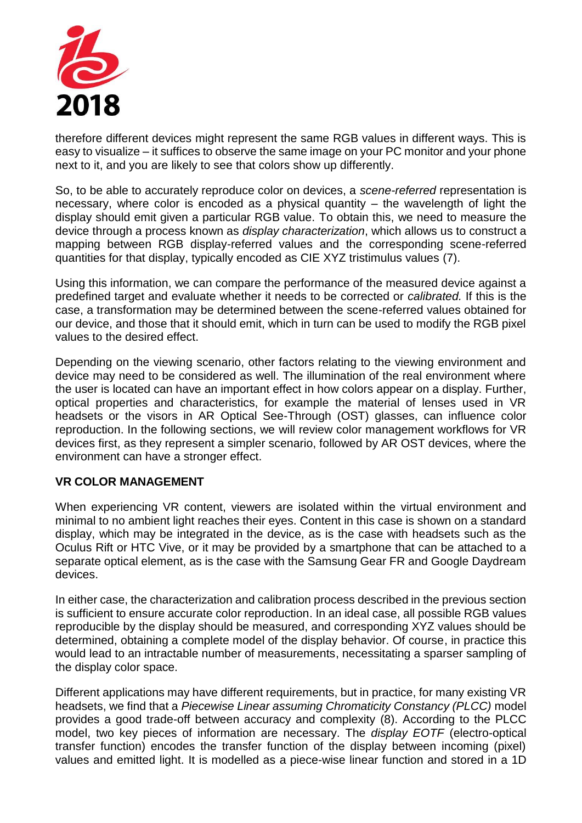

therefore different devices might represent the same RGB values in different ways. This is easy to visualize – it suffices to observe the same image on your PC monitor and your phone next to it, and you are likely to see that colors show up differently.

So, to be able to accurately reproduce color on devices, a *scene-referred* representation is necessary, where color is encoded as a physical quantity – the wavelength of light the display should emit given a particular RGB value. To obtain this, we need to measure the device through a process known as *display characterization*, which allows us to construct a mapping between RGB display-referred values and the corresponding scene-referred quantities for that display, typically encoded as CIE XYZ tristimulus values (7).

Using this information, we can compare the performance of the measured device against a predefined target and evaluate whether it needs to be corrected or *calibrated.* If this is the case, a transformation may be determined between the scene-referred values obtained for our device, and those that it should emit, which in turn can be used to modify the RGB pixel values to the desired effect.

Depending on the viewing scenario, other factors relating to the viewing environment and device may need to be considered as well. The illumination of the real environment where the user is located can have an important effect in how colors appear on a display. Further, optical properties and characteristics, for example the material of lenses used in VR headsets or the visors in AR Optical See-Through (OST) glasses, can influence color reproduction. In the following sections, we will review color management workflows for VR devices first, as they represent a simpler scenario, followed by AR OST devices, where the environment can have a stronger effect.

### **VR COLOR MANAGEMENT**

When experiencing VR content, viewers are isolated within the virtual environment and minimal to no ambient light reaches their eyes. Content in this case is shown on a standard display, which may be integrated in the device, as is the case with headsets such as the Oculus Rift or HTC Vive, or it may be provided by a smartphone that can be attached to a separate optical element, as is the case with the Samsung Gear FR and Google Daydream devices.

In either case, the characterization and calibration process described in the previous section is sufficient to ensure accurate color reproduction. In an ideal case, all possible RGB values reproducible by the display should be measured, and corresponding XYZ values should be determined, obtaining a complete model of the display behavior. Of course, in practice this would lead to an intractable number of measurements, necessitating a sparser sampling of the display color space.

Different applications may have different requirements, but in practice, for many existing VR headsets, we find that a *Piecewise Linear assuming Chromaticity Constancy (PLCC)* model provides a good trade-off between accuracy and complexity (8). According to the PLCC model, two key pieces of information are necessary. The *display EOTF* (electro-optical transfer function) encodes the transfer function of the display between incoming (pixel) values and emitted light. It is modelled as a piece-wise linear function and stored in a 1D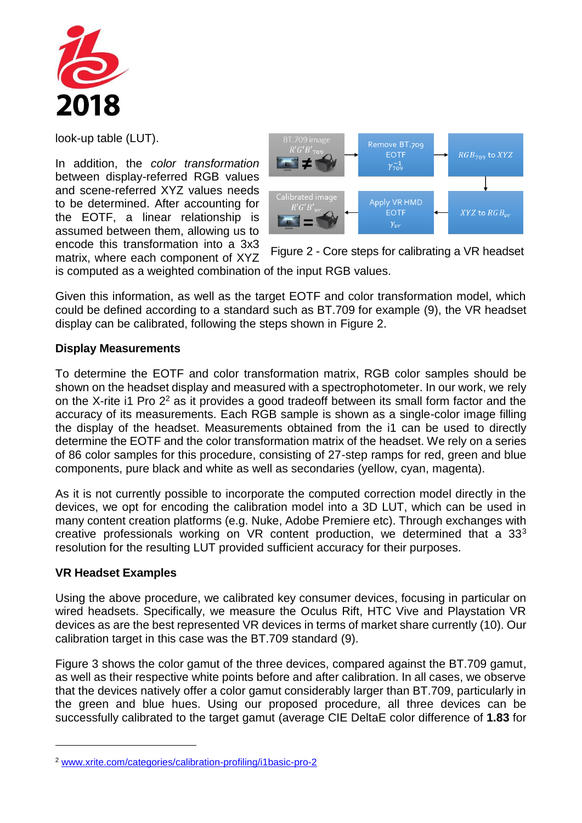

look-up table (LUT).

In addition, the *color transformation* between display-referred RGB values and scene-referred XYZ values needs to be determined. After accounting for the EOTF, a linear relationship is assumed between them, allowing us to encode this transformation into a 3x3 matrix, where each component of XYZ



<span id="page-3-0"></span>Figure 2 - Core steps for calibrating a VR headset

is computed as a weighted combination of the input RGB values.

Given this information, as well as the target EOTF and color transformation model, which could be defined according to a standard such as BT.709 for example (9), the VR headset display can be calibrated, following the steps shown in [Figure 2.](#page-3-0)

#### **Display Measurements**

To determine the EOTF and color transformation matrix, RGB color samples should be shown on the headset display and measured with a spectrophotometer. In our work, we rely on the X-rite i1 Pro 2<sup>2</sup> as it provides a good tradeoff between its small form factor and the accuracy of its measurements. Each RGB sample is shown as a single-color image filling the display of the headset. Measurements obtained from the i1 can be used to directly determine the EOTF and the color transformation matrix of the headset. We rely on a series of 86 color samples for this procedure, consisting of 27-step ramps for red, green and blue components, pure black and white as well as secondaries (yellow, cyan, magenta).

As it is not currently possible to incorporate the computed correction model directly in the devices, we opt for encoding the calibration model into a 3D LUT, which can be used in many content creation platforms (e.g. Nuke, Adobe Premiere etc). Through exchanges with creative professionals working on VR content production, we determined that a 33<sup>3</sup> resolution for the resulting LUT provided sufficient accuracy for their purposes.

#### **VR Headset Examples**

1

Using the above procedure, we calibrated key consumer devices, focusing in particular on wired headsets. Specifically, we measure the Oculus Rift, HTC Vive and Playstation VR devices as are the best represented VR devices in terms of market share currently (10). Our calibration target in this case was the BT.709 standard (9).

[Figure 3](#page-4-0) shows the color gamut of the three devices, compared against the BT.709 gamut, as well as their respective white points before and after calibration. In all cases, we observe that the devices natively offer a color gamut considerably larger than BT.709, particularly in the green and blue hues. Using our proposed procedure, all three devices can be successfully calibrated to the target gamut (average CIE DeltaE color difference of **1.83** for

<sup>2</sup> [www.xrite.com/categories/calibration-profiling/i1basic-pro-2](http://www.xrite.com/categories/calibration-profiling/i1basic-pro-2)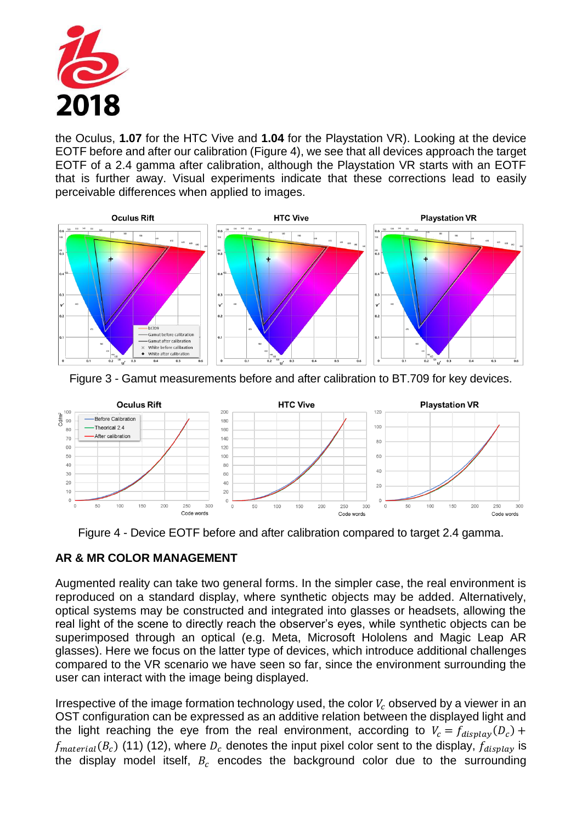

the Oculus, **1.07** for the HTC Vive and **1.04** for the Playstation VR). Looking at the device EOTF before and after our calibration [\(Figure 4\)](#page-4-1), we see that all devices approach the target EOTF of a 2.4 gamma after calibration, although the Playstation VR starts with an EOTF that is further away. Visual experiments indicate that these corrections lead to easily perceivable differences when applied to images.



<span id="page-4-0"></span>



Figure 4 - Device EOTF before and after calibration compared to target 2.4 gamma.

# <span id="page-4-1"></span>**AR & MR COLOR MANAGEMENT**

Augmented reality can take two general forms. In the simpler case, the real environment is reproduced on a standard display, where synthetic objects may be added. Alternatively, optical systems may be constructed and integrated into glasses or headsets, allowing the real light of the scene to directly reach the observer's eyes, while synthetic objects can be superimposed through an optical (e.g. Meta, Microsoft Hololens and Magic Leap AR glasses). Here we focus on the latter type of devices, which introduce additional challenges compared to the VR scenario we have seen so far, since the environment surrounding the user can interact with the image being displayed.

Irrespective of the image formation technology used, the color  $V_c$  observed by a viewer in an OST configuration can be expressed as an additive relation between the displayed light and the light reaching the eye from the real environment, according to  $V_c = f_{display}(D_c) +$  $f_{material}(B_c)$  (11) (12), where  $D_c$  denotes the input pixel color sent to the display,  $f_{display}$  is the display model itself,  $B_c$  encodes the background color due to the surrounding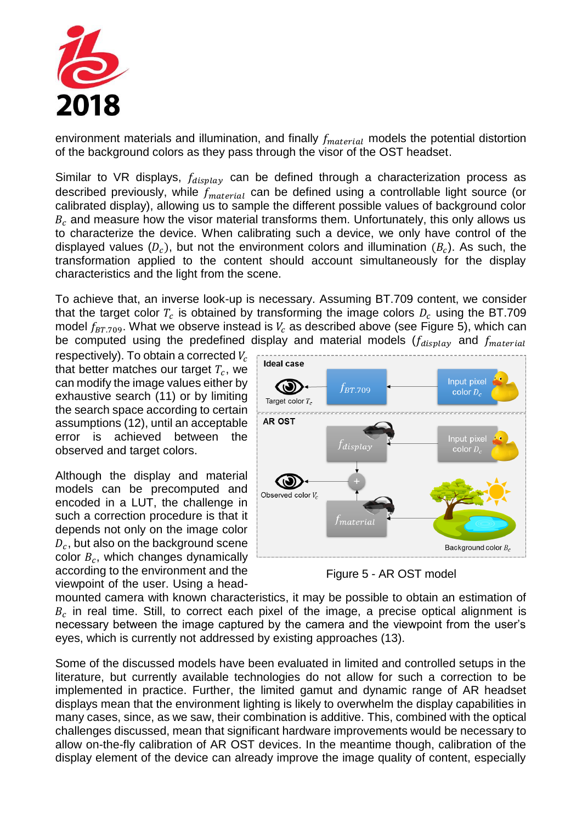

environment materials and illumination, and finally  $f_{material}$  models the potential distortion of the background colors as they pass through the visor of the OST headset.

Similar to VR displays,  $f_{display}$  can be defined through a characterization process as described previously, while  $f_{material}$  can be defined using a controllable light source (or calibrated display), allowing us to sample the different possible values of background color  $B<sub>c</sub>$  and measure how the visor material transforms them. Unfortunately, this only allows us to characterize the device. When calibrating such a device, we only have control of the displayed values  $(D_c)$ , but not the environment colors and illumination  $(B_c)$ . As such, the transformation applied to the content should account simultaneously for the display characteristics and the light from the scene.

To achieve that, an inverse look-up is necessary. Assuming BT.709 content, we consider that the target color  $T_c$  is obtained by transforming the image colors  $D_c$  using the BT.709 model  $f_{BT,709}$ . What we observe instead is  $V_c$  as described above (see [Figure 5\)](#page-5-0), which can be computed using the predefined display and material models  $(f_{display}$  and  $f_{material}$ 

respectively). To obtain a corrected  $V_c$ that better matches our target  $T_c$ , we can modify the image values either by exhaustive search (11) or by limiting the search space according to certain assumptions (12), until an acceptable error is achieved between the observed and target colors.

Although the display and material models can be precomputed and encoded in a LUT, the challenge in such a correction procedure is that it depends not only on the image color  $D_c$ , but also on the background scene color  $B_c$ , which changes dynamically according to the environment and the viewpoint of the user. Using a head-



<span id="page-5-0"></span>Figure 5 - AR OST model

mounted camera with known characteristics, it may be possible to obtain an estimation of  $B_c$  in real time. Still, to correct each pixel of the image, a precise optical alignment is necessary between the image captured by the camera and the viewpoint from the user's eyes, which is currently not addressed by existing approaches (13).

Some of the discussed models have been evaluated in limited and controlled setups in the literature, but currently available technologies do not allow for such a correction to be implemented in practice. Further, the limited gamut and dynamic range of AR headset displays mean that the environment lighting is likely to overwhelm the display capabilities in many cases, since, as we saw, their combination is additive. This, combined with the optical challenges discussed, mean that significant hardware improvements would be necessary to allow on-the-fly calibration of AR OST devices. In the meantime though, calibration of the display element of the device can already improve the image quality of content, especially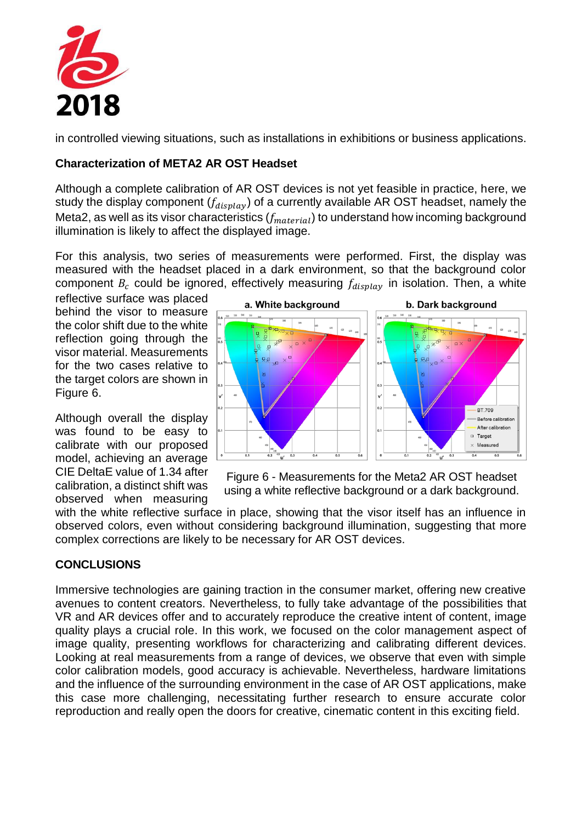

in controlled viewing situations, such as installations in exhibitions or business applications.

## **Characterization of META2 AR OST Headset**

Although a complete calibration of AR OST devices is not yet feasible in practice, here, we study the display component  $(f_{display})$  of a currently available AR OST headset, namely the Meta2, as well as its visor characteristics  $(f_{material})$  to understand how incoming background illumination is likely to affect the displayed image.

For this analysis, two series of measurements were performed. First, the display was measured with the headset placed in a dark environment, so that the background color component  $B_c$  could be ignored, effectively measuring  $f_{display}$  in isolation. Then, a white

reflective surface was placed behind the visor to measure the color shift due to the white reflection going through the visor material. Measurements for the two cases relative to the target colors are shown in [Figure 6.](#page-6-0)

Although overall the display was found to be easy to calibrate with our proposed model, achieving an average CIE DeltaE value of 1.34 after calibration, a distinct shift was observed when measuring



<span id="page-6-0"></span>Figure 6 - Measurements for the Meta2 AR OST headset using a white reflective background or a dark background.

with the white reflective surface in place, showing that the visor itself has an influence in observed colors, even without considering background illumination, suggesting that more complex corrections are likely to be necessary for AR OST devices.

# **CONCLUSIONS**

Immersive technologies are gaining traction in the consumer market, offering new creative avenues to content creators. Nevertheless, to fully take advantage of the possibilities that VR and AR devices offer and to accurately reproduce the creative intent of content, image quality plays a crucial role. In this work, we focused on the color management aspect of image quality, presenting workflows for characterizing and calibrating different devices. Looking at real measurements from a range of devices, we observe that even with simple color calibration models, good accuracy is achievable. Nevertheless, hardware limitations and the influence of the surrounding environment in the case of AR OST applications, make this case more challenging, necessitating further research to ensure accurate color reproduction and really open the doors for creative, cinematic content in this exciting field.